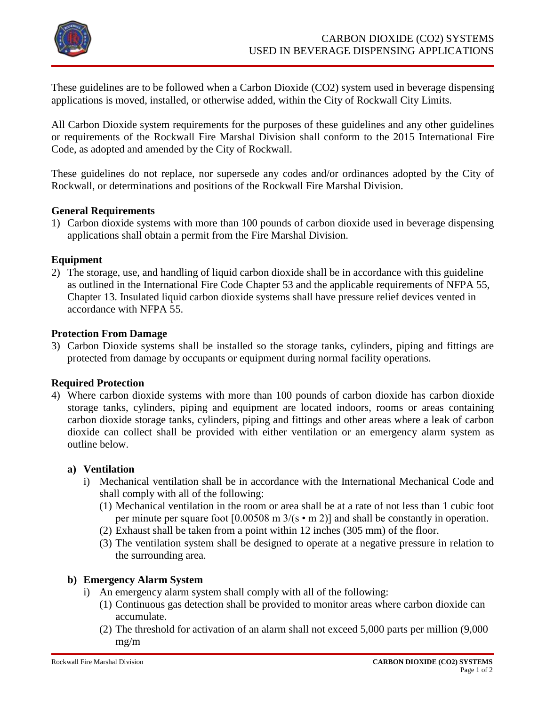

These guidelines are to be followed when a Carbon Dioxide (CO2) system used in beverage dispensing applications is moved, installed, or otherwise added, within the City of Rockwall City Limits.

All Carbon Dioxide system requirements for the purposes of these guidelines and any other guidelines or requirements of the Rockwall Fire Marshal Division shall conform to the 2015 International Fire Code, as adopted and amended by the City of Rockwall.

These guidelines do not replace, nor supersede any codes and/or ordinances adopted by the City of Rockwall, or determinations and positions of the Rockwall Fire Marshal Division.

## **General Requirements**

1) Carbon dioxide systems with more than 100 pounds of carbon dioxide used in beverage dispensing applications shall obtain a permit from the Fire Marshal Division.

## **Equipment**

2) The storage, use, and handling of liquid carbon dioxide shall be in accordance with this guideline as outlined in the International Fire Code Chapter 53 and the applicable requirements of NFPA 55, Chapter 13. Insulated liquid carbon dioxide systems shall have pressure relief devices vented in accordance with NFPA 55.

# **Protection From Damage**

3) Carbon Dioxide systems shall be installed so the storage tanks, cylinders, piping and fittings are protected from damage by occupants or equipment during normal facility operations.

#### **Required Protection**

4) Where carbon dioxide systems with more than 100 pounds of carbon dioxide has carbon dioxide storage tanks, cylinders, piping and equipment are located indoors, rooms or areas containing carbon dioxide storage tanks, cylinders, piping and fittings and other areas where a leak of carbon dioxide can collect shall be provided with either ventilation or an emergency alarm system as outline below.

#### **a) Ventilation**

- i) Mechanical ventilation shall be in accordance with the International Mechanical Code and shall comply with all of the following:
	- (1) Mechanical ventilation in the room or area shall be at a rate of not less than 1 cubic foot per minute per square foot  $[0.00508 \text{ m } 3/(s \cdot \text{m } 2)]$  and shall be constantly in operation.
	- (2) Exhaust shall be taken from a point within 12 inches (305 mm) of the floor.
	- (3) The ventilation system shall be designed to operate at a negative pressure in relation to the surrounding area.

#### **b) Emergency Alarm System**

- i) An emergency alarm system shall comply with all of the following:
	- (1) Continuous gas detection shall be provided to monitor areas where carbon dioxide can accumulate.
	- (2) The threshold for activation of an alarm shall not exceed 5,000 parts per million (9,000 mg/m